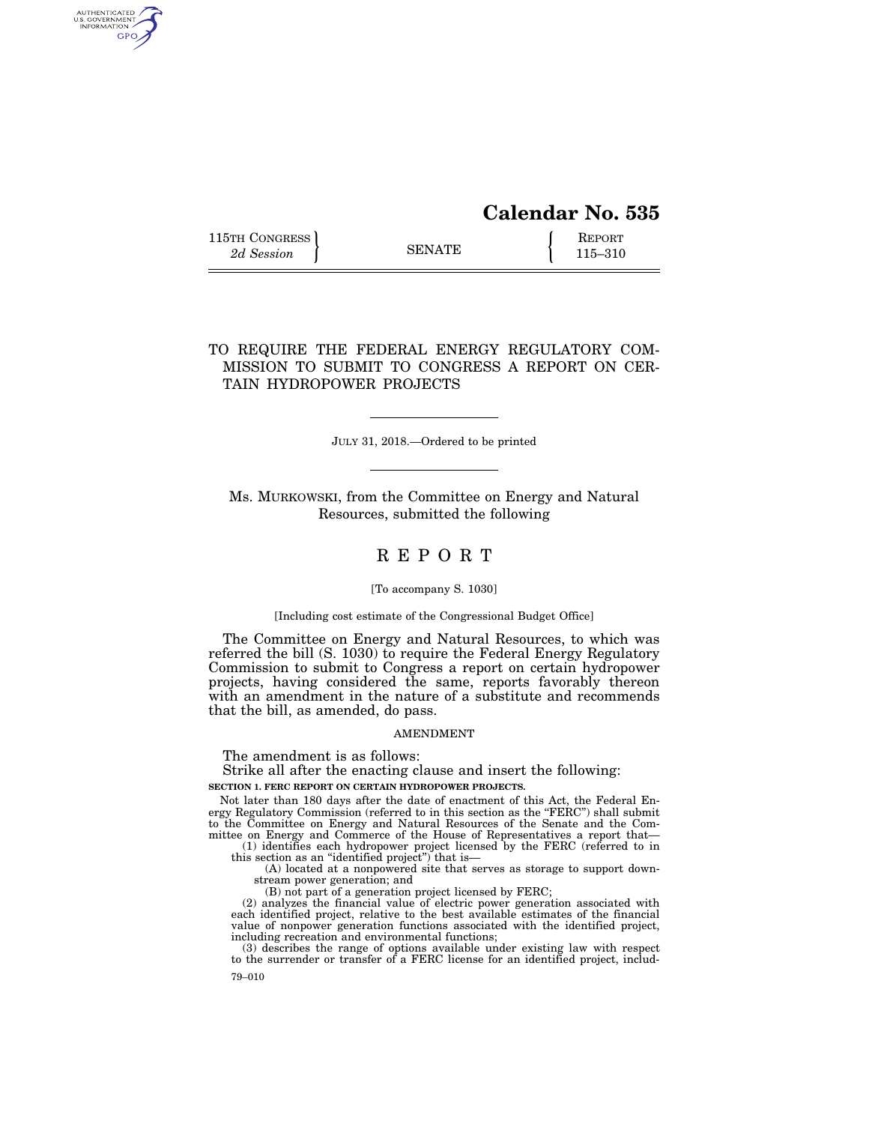# **Calendar No. 535**

115TH CONGRESS **REPORT** 2d Session **115–310 8ENATE** 115–310

AUTHENTICATED<br>U.S. GOVERNMENT<br>INFORMATION GPO

# TO REQUIRE THE FEDERAL ENERGY REGULATORY COM-MISSION TO SUBMIT TO CONGRESS A REPORT ON CER-TAIN HYDROPOWER PROJECTS

JULY 31, 2018.—Ordered to be printed

Ms. MURKOWSKI, from the Committee on Energy and Natural Resources, submitted the following

# R E P O R T

#### [To accompany S. 1030]

#### [Including cost estimate of the Congressional Budget Office]

The Committee on Energy and Natural Resources, to which was referred the bill (S. 1030) to require the Federal Energy Regulatory Commission to submit to Congress a report on certain hydropower projects, having considered the same, reports favorably thereon with an amendment in the nature of a substitute and recommends that the bill, as amended, do pass.

#### AMENDMENT

The amendment is as follows:

Strike all after the enacting clause and insert the following:

# **SECTION 1. FERC REPORT ON CERTAIN HYDROPOWER PROJECTS.**

Not later than 180 days after the date of enactment of this Act, the Federal Energy Regulatory Commission (referred to in this section as the "FERC") shall submit to the Committee on Energy and Natural Resources of the Senate and the Committee on Energy and Commerce of the House of Representatives a report that—

(1) identifies each hydropower project licensed by the FERC (referred to in this section as an ''identified project'') that is—

(A) located at a nonpowered site that serves as storage to support downstream power generation; and

(B) not part of a generation project licensed by FERC;

(2) analyzes the financial value of electric power generation associated with each identified project, relative to the best available estimates of the financial value of nonpower generation functions associated with the identified project, including recreation and environmental functions;

79–010 (3) describes the range of options available under existing law with respect to the surrender or transfer of a FERC license for an identified project, includ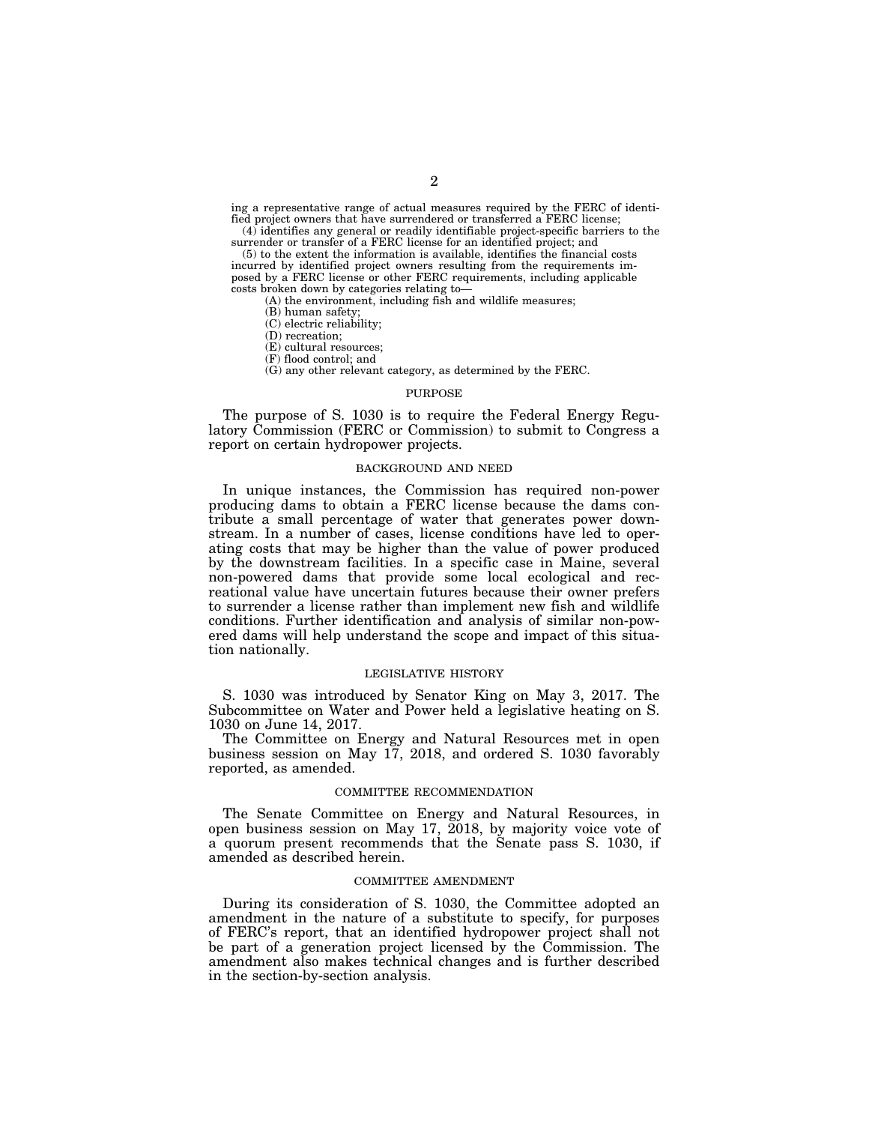ing a representative range of actual measures required by the FERC of identified project owners that have surrendered or transferred a FERC license; (4) identifies any general or readily identifiable project-specific barriers to the

surrender or transfer of a FERC license for an identified project; and (5) to the extent the information is available, identifies the financial costs incurred by identified project owners resulting from the requirements im-

posed by a FERC license or other FERC requirements, including applicable costs broken down by categories relating to—

(A) the environment, including fish and wildlife measures;

(B) human safety;

(C) electric reliability;

(D) recreation;

(E) cultural resources;

(F) flood control; and

(G) any other relevant category, as determined by the FERC.

# PURPOSE

The purpose of S. 1030 is to require the Federal Energy Regulatory Commission (FERC or Commission) to submit to Congress a report on certain hydropower projects.

## BACKGROUND AND NEED

In unique instances, the Commission has required non-power producing dams to obtain a FERC license because the dams contribute a small percentage of water that generates power downstream. In a number of cases, license conditions have led to operating costs that may be higher than the value of power produced by the downstream facilities. In a specific case in Maine, several non-powered dams that provide some local ecological and recreational value have uncertain futures because their owner prefers to surrender a license rather than implement new fish and wildlife conditions. Further identification and analysis of similar non-powered dams will help understand the scope and impact of this situation nationally.

#### LEGISLATIVE HISTORY

S. 1030 was introduced by Senator King on May 3, 2017. The Subcommittee on Water and Power held a legislative heating on S. 1030 on June 14, 2017.

The Committee on Energy and Natural Resources met in open business session on May 17, 2018, and ordered S. 1030 favorably reported, as amended.

### COMMITTEE RECOMMENDATION

The Senate Committee on Energy and Natural Resources, in open business session on May 17,  $2018$ , by majority voice vote of a quorum present recommends that the Senate pass S. 1030, if amended as described herein.

### COMMITTEE AMENDMENT

During its consideration of S. 1030, the Committee adopted an amendment in the nature of a substitute to specify, for purposes of FERC's report, that an identified hydropower project shall not be part of a generation project licensed by the Commission. The amendment also makes technical changes and is further described in the section-by-section analysis.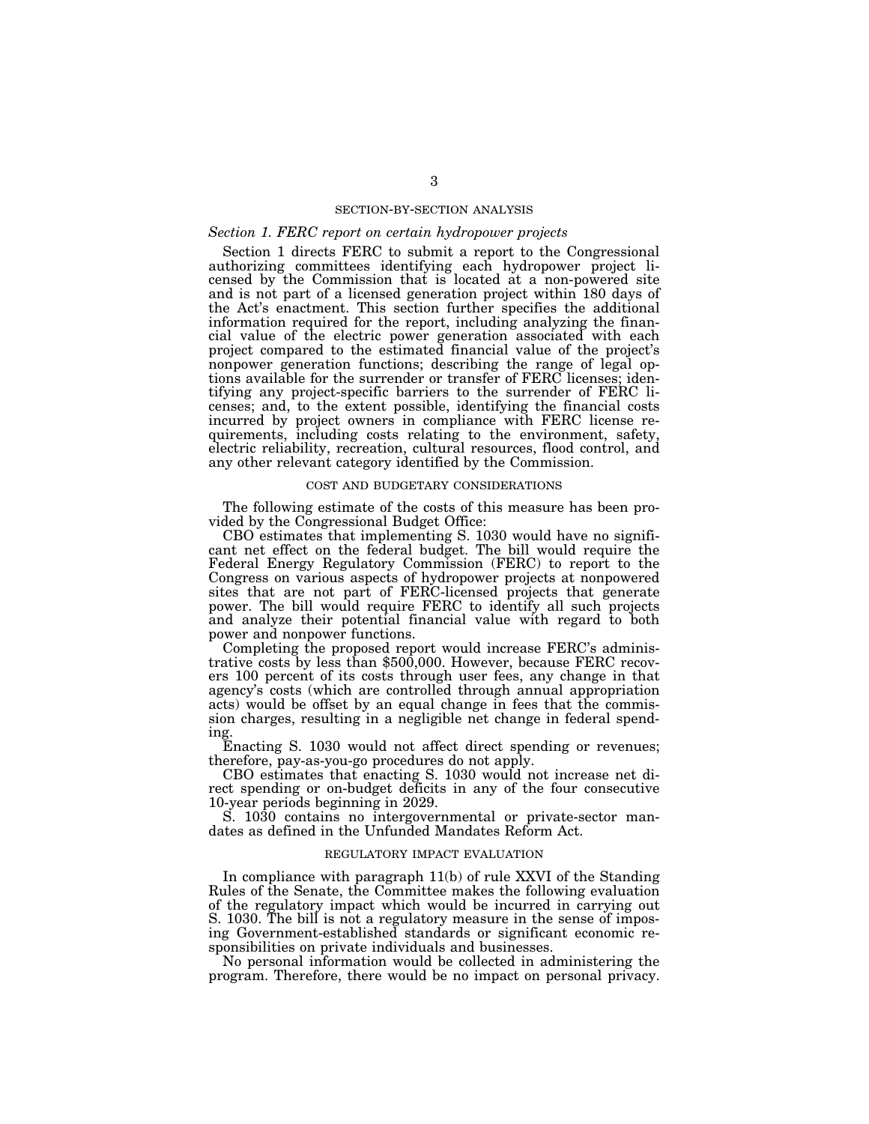#### SECTION-BY-SECTION ANALYSIS

## *Section 1. FERC report on certain hydropower projects*

Section 1 directs FERC to submit a report to the Congressional authorizing committees identifying each hydropower project licensed by the Commission that is located at a non-powered site and is not part of a licensed generation project within 180 days of the Act's enactment. This section further specifies the additional information required for the report, including analyzing the financial value of the electric power generation associated with each project compared to the estimated financial value of the project's nonpower generation functions; describing the range of legal options available for the surrender or transfer of FERC licenses; identifying any project-specific barriers to the surrender of FERC licenses; and, to the extent possible, identifying the financial costs incurred by project owners in compliance with FERC license requirements, including costs relating to the environment, safety, electric reliability, recreation, cultural resources, flood control, and any other relevant category identified by the Commission.

## COST AND BUDGETARY CONSIDERATIONS

The following estimate of the costs of this measure has been provided by the Congressional Budget Office:

CBO estimates that implementing S. 1030 would have no significant net effect on the federal budget. The bill would require the Federal Energy Regulatory Commission (FERC) to report to the Congress on various aspects of hydropower projects at nonpowered sites that are not part of FERC-licensed projects that generate power. The bill would require FERC to identify all such projects and analyze their potential financial value with regard to both power and nonpower functions.<br>Completing the proposed report would increase FERC's adminis-

trative costs by less than \$500,000. However, because FERC recovers 100 percent of its costs through user fees, any change in that agency's costs (which are controlled through annual appropriation acts) would be offset by an equal change in fees that the commission charges, resulting in a negligible net change in federal spending.

Enacting S. 1030 would not affect direct spending or revenues; therefore, pay-as-you-go procedures do not apply.

CBO estimates that enacting S. 1030 would not increase net direct spending or on-budget deficits in any of the four consecutive 10-year periods beginning in 2029.

S. 1030 contains no intergovernmental or private-sector mandates as defined in the Unfunded Mandates Reform Act.

#### REGULATORY IMPACT EVALUATION

In compliance with paragraph 11(b) of rule XXVI of the Standing Rules of the Senate, the Committee makes the following evaluation of the regulatory impact which would be incurred in carrying out S. 1030. The bill is not a regulatory measure in the sense of imposing Government-established standards or significant economic responsibilities on private individuals and businesses.

No personal information would be collected in administering the program. Therefore, there would be no impact on personal privacy.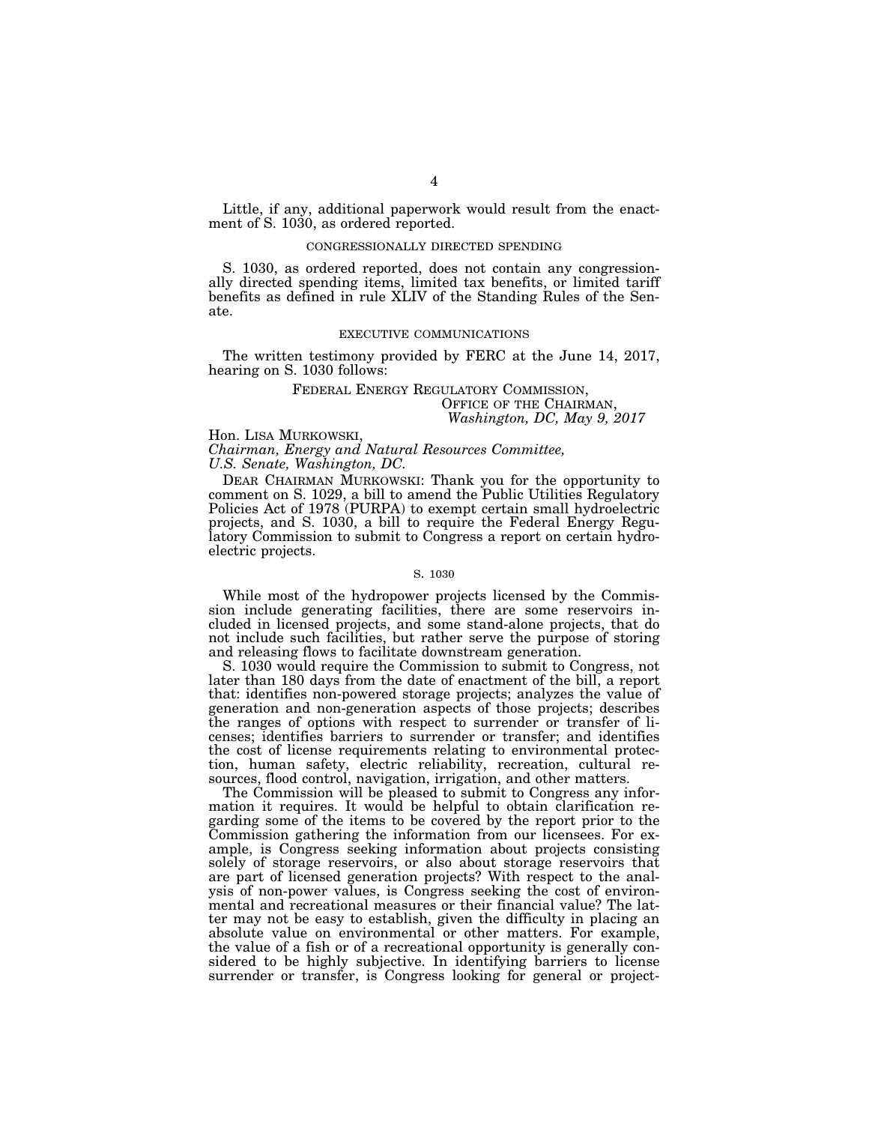Little, if any, additional paperwork would result from the enactment of S. 1030, as ordered reported.

#### CONGRESSIONALLY DIRECTED SPENDING

S. 1030, as ordered reported, does not contain any congressionally directed spending items, limited tax benefits, or limited tariff benefits as defined in rule XLIV of the Standing Rules of the Senate.

#### EXECUTIVE COMMUNICATIONS

The written testimony provided by FERC at the June 14, 2017, hearing on S. 1030 follows:

# FEDERAL ENERGY REGULATORY COMMISSION, OFFICE OF THE CHAIRMAN, *Washington, DC, May 9, 2017*

Hon. LISA MURKOWSKI,

*Chairman, Energy and Natural Resources Committee, U.S. Senate, Washington, DC.* 

DEAR CHAIRMAN MURKOWSKI: Thank you for the opportunity to comment on S. 1029, a bill to amend the Public Utilities Regulatory Policies Act of 1978 (PURPA) to exempt certain small hydroelectric projects, and S. 1030, a bill to require the Federal Energy Regulatory Commission to submit to Congress a report on certain hydroelectric projects.

#### S. 1030

While most of the hydropower projects licensed by the Commission include generating facilities, there are some reservoirs included in licensed projects, and some stand-alone projects, that do not include such facilities, but rather serve the purpose of storing and releasing flows to facilitate downstream generation.

S. 1030 would require the Commission to submit to Congress, not later than 180 days from the date of enactment of the bill, a report that: identifies non-powered storage projects; analyzes the value of generation and non-generation aspects of those projects; describes the ranges of options with respect to surrender or transfer of licenses; identifies barriers to surrender or transfer; and identifies the cost of license requirements relating to environmental protection, human safety, electric reliability, recreation, cultural resources, flood control, navigation, irrigation, and other matters.

The Commission will be pleased to submit to Congress any information it requires. It would be helpful to obtain clarification regarding some of the items to be covered by the report prior to the Commission gathering the information from our licensees. For example, is Congress seeking information about projects consisting solely of storage reservoirs, or also about storage reservoirs that are part of licensed generation projects? With respect to the analysis of non-power values, is Congress seeking the cost of environmental and recreational measures or their financial value? The latter may not be easy to establish, given the difficulty in placing an absolute value on environmental or other matters. For example, the value of a fish or of a recreational opportunity is generally considered to be highly subjective. In identifying barriers to license surrender or transfer, is Congress looking for general or project